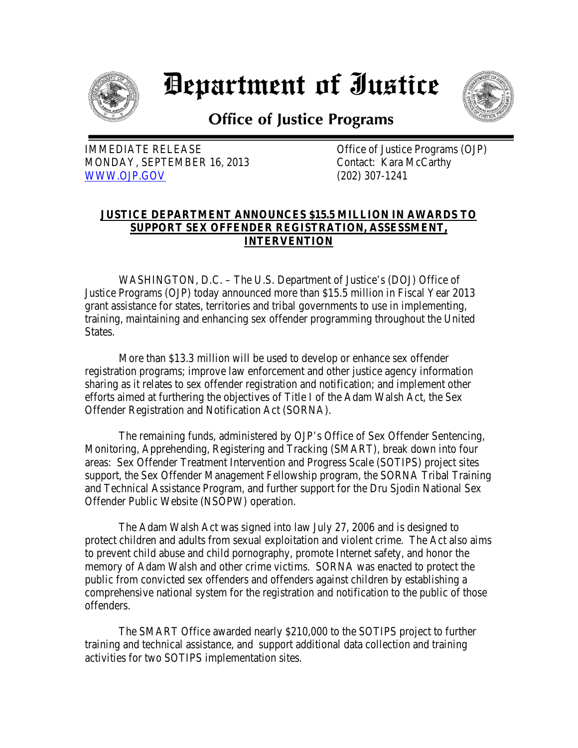

## *Department of Iustice*



**Office of Justice Programs** 

IMMEDIATE RELEASE **Office of Justice Programs (OJP)** MONDAY, SEPTEMBER 16, 2013 Contact: Kara McCarthy [WWW.OJP.GOV](http://www.ojp.gov/) (202) 307-1241

## **JUSTICE DEPARTMENT ANNOUNCES \$15.5 MILLION IN AWARDS TO SUPPORT SEX OFFENDER REGISTRATION, ASSESSMENT, INTERVENTION**

WASHINGTON, D.C. – The U.S. Department of Justice's (DOJ) Office of Justice Programs (OJP) today announced more than \$15.5 million in Fiscal Year 2013 grant assistance for states, territories and tribal governments to use in implementing, training, maintaining and enhancing sex offender programming throughout the United States.

More than \$13.3 million will be used to develop or enhance sex offender registration programs; improve law enforcement and other justice agency information sharing as it relates to sex offender registration and notification; and implement other efforts aimed at furthering the objectives of Title I of the Adam Walsh Act, the Sex Offender Registration and Notification Act (SORNA).

The remaining funds, administered by OJP's Office of Sex Offender Sentencing, Monitoring, Apprehending, Registering and Tracking (SMART), break down into four areas: Sex Offender Treatment Intervention and Progress Scale (SOTIPS) project sites support, the Sex Offender Management Fellowship program, the SORNA Tribal Training and Technical Assistance Program, and further support for the Dru Sjodin National Sex Offender Public Website (NSOPW) operation.

 The Adam Walsh Act was signed into law July 27, 2006 and is designed to protect children and adults from sexual exploitation and violent crime. The Act also aims to prevent child abuse and child pornography, promote Internet safety, and honor the memory of Adam Walsh and other crime victims. SORNA was enacted to protect the public from convicted sex offenders and offenders against children by establishing a comprehensive national system for the registration and notification to the public of those offenders.

The SMART Office awarded nearly \$210,000 to the SOTIPS project to further training and technical assistance, and support additional data collection and training activities for two SOTIPS implementation sites.